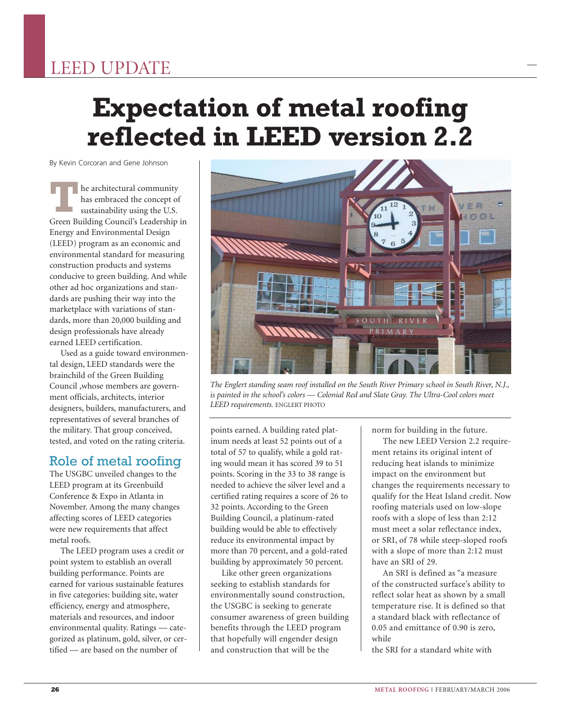## LEED UPDATE

# **Expectation of metal roofing reflected in LEED version 2.2**

By Kevin Corcoran and Gene Johnson

he architectural community has embraced the concept of sustainability using the U.S. **Example a** architectural community<br>has embraced the concept of<br>sustainability using the U.S.<br>Green Building Council's Leadership in Energy and Environmental Design (LEED) program as an economic and environmental standard for measuring construction products and systems conducive to green building. And while other ad hoc organizations and standards are pushing their way into the marketplace with variations of standards, more than 20,000 building and design professionals have already earned LEED certification.

Used as a guide toward environmental design, LEED standards were the brainchild of the Green Building Council ,whose members are government officials, architects, interior designers, builders, manufacturers, and representatives of several branches of the military. That group conceived, tested, and voted on the rating criteria.

## Role of metal roofing

The USGBC unveiled changes to the LEED program at its Greenbuild Conference & Expo in Atlanta in November. Among the many changes affecting scores of LEED categories were new requirements that affect metal roofs.

The LEED program uses a credit or point system to establish an overall building performance. Points are earned for various sustainable features in five categories: building site, water efficiency, energy and atmosphere, materials and resources, and indoor environmental quality. Ratings — categorized as platinum, gold, silver, or certified — are based on the number of



*The Englert standing seam roof installed on the South River Primary school in South River, N.J., is painted in the school's colors — Colonial Red and Slate Gray. The Ultra-Cool colors meet LEED requirements.* ENGLERT PHOTO

points earned. A building rated platinum needs at least 52 points out of a total of 57 to qualify, while a gold rating would mean it has scored 39 to 51 points. Scoring in the 33 to 38 range is needed to achieve the silver level and a certified rating requires a score of 26 to 32 points. According to the Green Building Council, a platinum-rated building would be able to effectively reduce its environmental impact by more than 70 percent, and a gold-rated building by approximately 50 percent.

Like other green organizations seeking to establish standards for environmentally sound construction, the USGBC is seeking to generate consumer awareness of green building benefits through the LEED program that hopefully will engender design and construction that will be the

norm for building in the future.

The new LEED Version 2.2 requirement retains its original intent of reducing heat islands to minimize impact on the environment but changes the requirements necessary to qualify for the Heat Island credit. Now roofing materials used on low-slope roofs with a slope of less than 2:12 must meet a solar reflectance index, or SRI, of 78 while steep-sloped roofs with a slope of more than 2:12 must have an SRI of 29.

An SRI is defined as "a measure of the constructed surface's ability to reflect solar heat as shown by a small temperature rise. It is defined so that a standard black with reflectance of 0.05 and emittance of 0.90 is zero, while

the SRI for a standard white with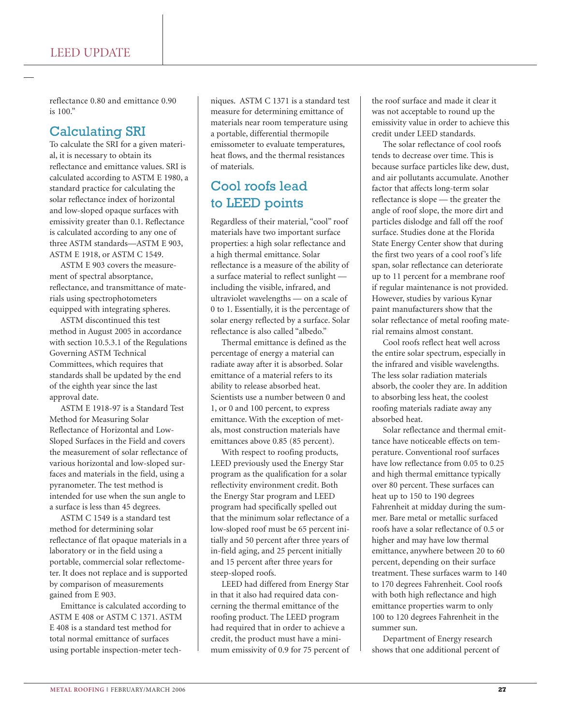reflectance 0.80 and emittance 0.90 is 100."

## Calculating SRI

To calculate the SRI for a given material, it is necessary to obtain its reflectance and emittance values. SRI is calculated according to ASTM E 1980, a standard practice for calculating the solar reflectance index of horizontal and low-sloped opaque surfaces with emissivity greater than 0.1. Reflectance is calculated according to any one of three ASTM standards—ASTM E 903, ASTM E 1918, or ASTM C 1549.

ASTM E 903 covers the measurement of spectral absorptance, reflectance, and transmittance of materials using spectrophotometers equipped with integrating spheres.

ASTM discontinued this test method in August 2005 in accordance with section 10.5.3.1 of the Regulations Governing ASTM Technical Committees, which requires that standards shall be updated by the end of the eighth year since the last approval date.

ASTM E 1918-97 is a Standard Test Method for Measuring Solar Reflectance of Horizontal and Low-Sloped Surfaces in the Field and covers the measurement of solar reflectance of various horizontal and low-sloped surfaces and materials in the field, using a pyranometer. The test method is intended for use when the sun angle to a surface is less than 45 degrees.

ASTM C 1549 is a standard test method for determining solar reflectance of flat opaque materials in a laboratory or in the field using a portable, commercial solar reflectometer. It does not replace and is supported by comparison of measurements gained from E 903.

Emittance is calculated according to ASTM E 408 or ASTM C 1371. ASTM E 408 is a standard test method for total normal emittance of surfaces using portable inspection-meter techniques. ASTM C 1371 is a standard test measure for determining emittance of materials near room temperature using a portable, differential thermopile emissometer to evaluate temperatures, heat flows, and the thermal resistances of materials.

## Cool roofs lead to LEED points

Regardless of their material, "cool" roof materials have two important surface properties: a high solar reflectance and a high thermal emittance. Solar reflectance is a measure of the ability of a surface material to reflect sunlight including the visible, infrared, and ultraviolet wavelengths — on a scale of 0 to 1. Essentially, it is the percentage of solar energy reflected by a surface. Solar reflectance is also called "albedo."

Thermal emittance is defined as the percentage of energy a material can radiate away after it is absorbed. Solar emittance of a material refers to its ability to release absorbed heat. Scientists use a number between 0 and 1, or 0 and 100 percent, to express emittance. With the exception of metals, most construction materials have emittances above 0.85 (85 percent).

With respect to roofing products, LEED previously used the Energy Star program as the qualification for a solar reflectivity environment credit. Both the Energy Star program and LEED program had specifically spelled out that the minimum solar reflectance of a low-sloped roof must be 65 percent initially and 50 percent after three years of in-field aging, and 25 percent initially and 15 percent after three years for steep-sloped roofs.

LEED had differed from Energy Star in that it also had required data concerning the thermal emittance of the roofing product. The LEED program had required that in order to achieve a credit, the product must have a minimum emissivity of 0.9 for 75 percent of the roof surface and made it clear it was not acceptable to round up the emissivity value in order to achieve this credit under LEED standards.

The solar reflectance of cool roofs tends to decrease over time. This is because surface particles like dew, dust, and air pollutants accumulate. Another factor that affects long-term solar reflectance is slope — the greater the angle of roof slope, the more dirt and particles dislodge and fall off the roof surface. Studies done at the Florida State Energy Center show that during the first two years of a cool roof's life span, solar reflectance can deteriorate up to 11 percent for a membrane roof if regular maintenance is not provided. However, studies by various Kynar paint manufacturers show that the solar reflectance of metal roofing material remains almost constant.

Cool roofs reflect heat well across the entire solar spectrum, especially in the infrared and visible wavelengths. The less solar radiation materials absorb, the cooler they are. In addition to absorbing less heat, the coolest roofing materials radiate away any absorbed heat.

Solar reflectance and thermal emittance have noticeable effects on temperature. Conventional roof surfaces have low reflectance from 0.05 to 0.25 and high thermal emittance typically over 80 percent. These surfaces can heat up to 150 to 190 degrees Fahrenheit at midday during the summer. Bare metal or metallic surfaced roofs have a solar reflectance of 0.5 or higher and may have low thermal emittance, anywhere between 20 to 60 percent, depending on their surface treatment. These surfaces warm to 140 to 170 degrees Fahrenheit. Cool roofs with both high reflectance and high emittance properties warm to only 100 to 120 degrees Fahrenheit in the summer sun.

Department of Energy research shows that one additional percent of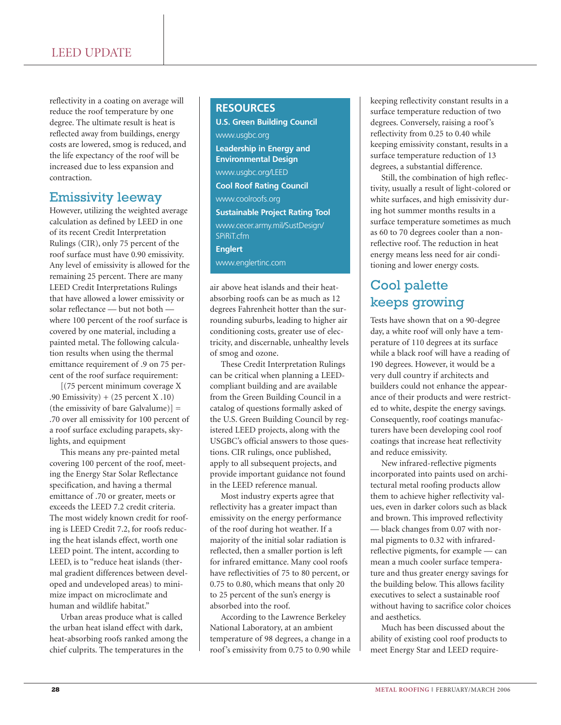reflectivity in a coating on average will reduce the roof temperature by one degree. The ultimate result is heat is reflected away from buildings, energy costs are lowered, smog is reduced, and the life expectancy of the roof will be increased due to less expansion and contraction.

## Emissivity leeway

However, utilizing the weighted average calculation as defined by LEED in one of its recent Credit Interpretation Rulings (CIR), only 75 percent of the roof surface must have 0.90 emissivity. Any level of emissivity is allowed for the remaining 25 percent. There are many LEED Credit Interpretations Rulings that have allowed a lower emissivity or solar reflectance — but not both where 100 percent of the roof surface is covered by one material, including a painted metal. The following calculation results when using the thermal emittance requirement of .9 on 75 percent of the roof surface requirement:

[(75 percent minimum coverage X .90 Emissivity) + (25 percent X .10) (the emissivity of bare Galvalume)] = .70 over all emissivity for 100 percent of a roof surface excluding parapets, skylights, and equipment

This means any pre-painted metal covering 100 percent of the roof, meeting the Energy Star Solar Reflectance specification, and having a thermal emittance of .70 or greater, meets or exceeds the LEED 7.2 credit criteria. The most widely known credit for roofing is LEED Credit 7.2, for roofs reducing the heat islands effect, worth one LEED point. The intent, according to LEED, is to "reduce heat islands (thermal gradient differences between developed and undeveloped areas) to minimize impact on microclimate and human and wildlife habitat."

Urban areas produce what is called the urban heat island effect with dark, heat-absorbing roofs ranked among the chief culprits. The temperatures in the

#### **RESOURCES**

**U.S. Green Building Council** www.usgbc.org **Leadership in Energy and Environmental Design** www.usgbc.org/LEED **Cool Roof Rating Council** www.coolroofs.org **Sustainable Project Rating Tool** www.cecer.army.mil/SustDesign/ SPiRiT.cfm **Englert** www.englertinc.com

air above heat islands and their heatabsorbing roofs can be as much as 12 degrees Fahrenheit hotter than the surrounding suburbs, leading to higher air conditioning costs, greater use of electricity, and discernable, unhealthy levels of smog and ozone.

These Credit Interpretation Rulings can be critical when planning a LEEDcompliant building and are available from the Green Building Council in a catalog of questions formally asked of the U.S. Green Building Council by registered LEED projects, along with the USGBC's official answers to those questions. CIR rulings, once published, apply to all subsequent projects, and provide important guidance not found in the LEED reference manual.

Most industry experts agree that reflectivity has a greater impact than emissivity on the energy performance of the roof during hot weather. If a majority of the initial solar radiation is reflected, then a smaller portion is left for infrared emittance. Many cool roofs have reflectivities of 75 to 80 percent, or 0.75 to 0.80, which means that only 20 to 25 percent of the sun's energy is absorbed into the roof.

According to the Lawrence Berkeley National Laboratory, at an ambient temperature of 98 degrees, a change in a roof's emissivity from 0.75 to 0.90 while keeping reflectivity constant results in a surface temperature reduction of two degrees. Conversely, raising a roof's reflectivity from 0.25 to 0.40 while keeping emissivity constant, results in a surface temperature reduction of 13 degrees, a substantial difference.

Still, the combination of high reflectivity, usually a result of light-colored or white surfaces, and high emissivity during hot summer months results in a surface temperature sometimes as much as 60 to 70 degrees cooler than a nonreflective roof. The reduction in heat energy means less need for air conditioning and lower energy costs.

## Cool palette keeps growing

Tests have shown that on a 90-degree day, a white roof will only have a temperature of 110 degrees at its surface while a black roof will have a reading of 190 degrees. However, it would be a very dull country if architects and builders could not enhance the appearance of their products and were restricted to white, despite the energy savings. Consequently, roof coatings manufacturers have been developing cool roof coatings that increase heat reflectivity and reduce emissivity.

New infrared-reflective pigments incorporated into paints used on architectural metal roofing products allow them to achieve higher reflectivity values, even in darker colors such as black and brown. This improved reflectivity — black changes from 0.07 with normal pigments to 0.32 with infraredreflective pigments, for example — can mean a much cooler surface temperature and thus greater energy savings for the building below. This allows facility executives to select a sustainable roof without having to sacrifice color choices and aesthetics.

Much has been discussed about the ability of existing cool roof products to meet Energy Star and LEED require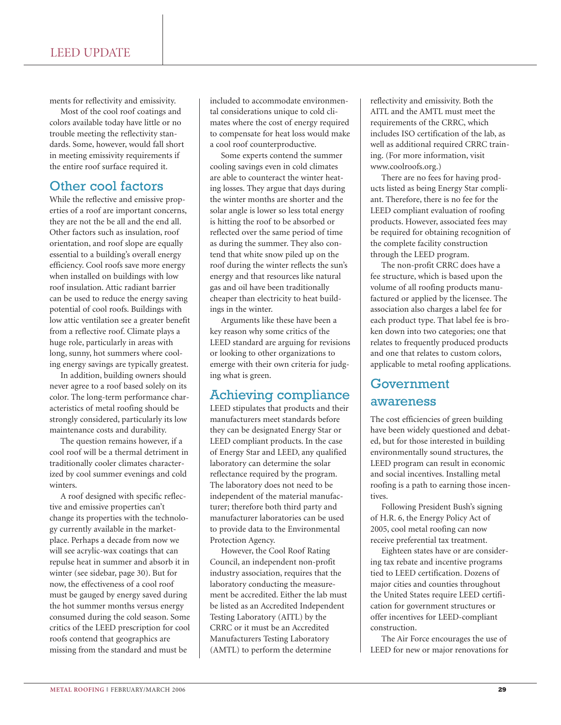ments for reflectivity and emissivity.

Most of the cool roof coatings and colors available today have little or no trouble meeting the reflectivity standards. Some, however, would fall short in meeting emissivity requirements if the entire roof surface required it.

### Other cool factors

While the reflective and emissive properties of a roof are important concerns, they are not the be all and the end all. Other factors such as insulation, roof orientation, and roof slope are equally essential to a building's overall energy efficiency. Cool roofs save more energy when installed on buildings with low roof insulation. Attic radiant barrier can be used to reduce the energy saving potential of cool roofs. Buildings with low attic ventilation see a greater benefit from a reflective roof. Climate plays a huge role, particularly in areas with long, sunny, hot summers where cooling energy savings are typically greatest.

In addition, building owners should never agree to a roof based solely on its color. The long-term performance characteristics of metal roofing should be strongly considered, particularly its low maintenance costs and durability.

The question remains however, if a cool roof will be a thermal detriment in traditionally cooler climates characterized by cool summer evenings and cold winters.

A roof designed with specific reflective and emissive properties can't change its properties with the technology currently available in the marketplace. Perhaps a decade from now we will see acrylic-wax coatings that can repulse heat in summer and absorb it in winter (see sidebar, page 30). But for now, the effectiveness of a cool roof must be gauged by energy saved during the hot summer months versus energy consumed during the cold season. Some critics of the LEED prescription for cool roofs contend that geographics are missing from the standard and must be

included to accommodate environmental considerations unique to cold climates where the cost of energy required to compensate for heat loss would make a cool roof counterproductive.

Some experts contend the summer cooling savings even in cold climates are able to counteract the winter heating losses. They argue that days during the winter months are shorter and the solar angle is lower so less total energy is hitting the roof to be absorbed or reflected over the same period of time as during the summer. They also contend that white snow piled up on the roof during the winter reflects the sun's energy and that resources like natural gas and oil have been traditionally cheaper than electricity to heat buildings in the winter.

Arguments like these have been a key reason why some critics of the LEED standard are arguing for revisions or looking to other organizations to emerge with their own criteria for judging what is green.

## Achieving compliance

LEED stipulates that products and their manufacturers meet standards before they can be designated Energy Star or LEED compliant products. In the case of Energy Star and LEED, any qualified laboratory can determine the solar reflectance required by the program. The laboratory does not need to be independent of the material manufacturer; therefore both third party and manufacturer laboratories can be used to provide data to the Environmental Protection Agency.

However, the Cool Roof Rating Council, an independent non-profit industry association, requires that the laboratory conducting the measurement be accredited. Either the lab must be listed as an Accredited Independent Testing Laboratory (AITL) by the CRRC or it must be an Accredited Manufacturers Testing Laboratory (AMTL) to perform the determine

reflectivity and emissivity. Both the AITL and the AMTL must meet the requirements of the CRRC, which includes ISO certification of the lab, as well as additional required CRRC training. (For more information, visit www.coolroofs.org.)

There are no fees for having products listed as being Energy Star compliant. Therefore, there is no fee for the LEED compliant evaluation of roofing products. However, associated fees may be required for obtaining recognition of the complete facility construction through the LEED program.

The non-profit CRRC does have a fee structure, which is based upon the volume of all roofing products manufactured or applied by the licensee. The association also charges a label fee for each product type. That label fee is broken down into two categories; one that relates to frequently produced products and one that relates to custom colors, applicable to metal roofing applications.

## Government awareness

The cost efficiencies of green building have been widely questioned and debated, but for those interested in building environmentally sound structures, the LEED program can result in economic and social incentives. Installing metal roofing is a path to earning those incentives.

Following President Bush's signing of H.R. 6, the Energy Policy Act of 2005, cool metal roofing can now receive preferential tax treatment.

Eighteen states have or are considering tax rebate and incentive programs tied to LEED certification. Dozens of major cities and counties throughout the United States require LEED certification for government structures or offer incentives for LEED-compliant construction.

The Air Force encourages the use of LEED for new or major renovations for